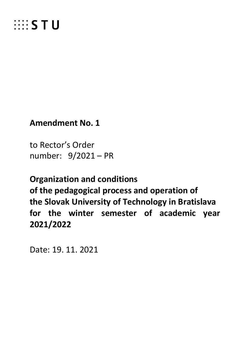

**Amendment No. 1**

to Rector's Order number: 9/2021 – PR

**Organization and conditions of the pedagogical process and operation of the Slovak University of Technology in Bratislava for the winter semester of academic year 2021/2022**

Date: 19. 11. 2021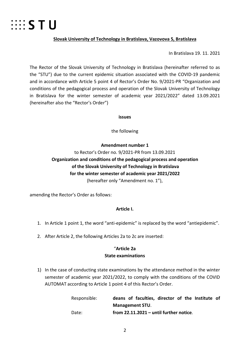

#### **Slovak University of Technology in Bratislava, Vazovova 5, Bratislava**

In Bratislava 19. 11. 2021

The Rector of the Slovak University of Technology in Bratislava (hereinafter referred to as the "STU") due to the current epidemic situation associated with the COVID-19 pandemic and in accordance with Article 5 point 4 of Rector's Order No. 9/2021-PR "Organization and conditions of the pedagogical process and operation of the Slovak University of Technology in Bratislava for the winter semester of academic year 2021/2022" dated 13.09.2021 (hereinafter also the "Rector's Order")

#### **issues**

the following

# **Amendment number 1** to Rector's Order no. 9/2021-PR from 13.09.2021 **Organization and conditions of the pedagogical process and operation of the Slovak University of Technology in Bratislava for the winter semester of academic year 2021/2022** (hereafter only "Amendment no. 1"),

amending the Rector's Order as follows:

## **Article I.**

- 1. In Article 1 point 1, the word "anti-epidemic" is replaced by the word "antiepidemic".
- 2. After Article 2, the following Articles 2a to 2c are inserted:

#### "**Article 2a**

#### **State examinations**

1) In the case of conducting state examinations by the attendance method in the winter semester of academic year 2021/2022, to comply with the conditions of the COVID AUTOMAT according to Article 1 point 4 of this Rector's Order.

| Responsible: |                        |  | deans of faculties, director of the Institute of |  |  |  |  |  |  |  |
|--------------|------------------------|--|--------------------------------------------------|--|--|--|--|--|--|--|
|              | <b>Management STU.</b> |  |                                                  |  |  |  |  |  |  |  |
| Date:        |                        |  | from $22.11.2021$ – until further notice.        |  |  |  |  |  |  |  |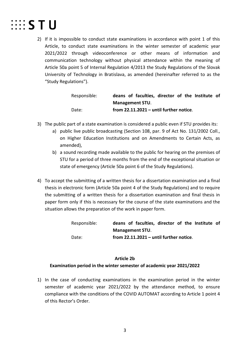

2) If it is impossible to conduct state examinations in accordance with point 1 of this Article, to conduct state examinations in the winter semester of academic year 2021/2022 through videoconference or other means of information and communication technology without physical attendance within the meaning of Article 50a point 5 of Internal Regulation 4/2013 the Study Regulations of the Slovak University of Technology in Bratislava, as amended (hereinafter referred to as the "Study Regulations").

| Responsible: |                        |  | deans of faculties, director of the Institute of |  |  |  |  |  |  |  |
|--------------|------------------------|--|--------------------------------------------------|--|--|--|--|--|--|--|
|              | <b>Management STU.</b> |  |                                                  |  |  |  |  |  |  |  |
| Date:        |                        |  | from $22.11.2021$ – until further notice.        |  |  |  |  |  |  |  |

- 3) The public part of a state examination is considered a public even if STU provides its:
	- a) public live public broadcasting (Section 108, par. 9 of Act No. 131/2002 Coll., on Higher Education Institutions and on Amendments to Certain Acts, as amended),
	- b) a sound recording made available to the public for hearing on the premises of STU for a period of three months from the end of the exceptional situation or state of emergency (Article 50a point 6 of the Study Regulations).
- 4) To accept the submitting of a written thesis for a dissertation examination and a final thesis in electronic form (Article 50a point 4 of the Study Regulations) and to require the submitting of a written thesis for a dissertation examination and final thesis in paper form only if this is necessary for the course of the state examinations and the situation allows the preparation of the work in paper form.

| Responsible: |                        |  | deans of faculties, director of the Institute of |  |  |  |  |  |  |  |  |
|--------------|------------------------|--|--------------------------------------------------|--|--|--|--|--|--|--|--|
|              | <b>Management STU.</b> |  |                                                  |  |  |  |  |  |  |  |  |
| Date:        |                        |  | from $22.11.2021$ – until further notice.        |  |  |  |  |  |  |  |  |

#### **Article 2b**

#### **Examination period in the winter semester of academic year 2021/2022**

1) In the case of conducting examinations in the examination period in the winter semester of academic year 2021/2022 by the attendance method, to ensure compliance with the conditions of the COVID AUTOMAT according to Article 1 point 4 of this Rector's Order.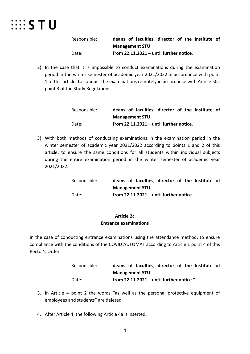# $\cdots$  STU

Responsible: **deans of faculties, director of the Institute of Management STU**. Date: **from 22.11.2021 – until further notice**.

2) In the case that it is impossible to conduct examinations during the examination period in the winter semester of academic year 2021/2022 in accordance with point 1 of this article, to conduct the examinations remotely in accordance with Article 50a point 3 of the Study Regulations.

| Responsible: |                        |  | deans of faculties, director of the Institute of |  |  |  |  |  |  |  |  |
|--------------|------------------------|--|--------------------------------------------------|--|--|--|--|--|--|--|--|
|              | <b>Management STU.</b> |  |                                                  |  |  |  |  |  |  |  |  |
| Date:        |                        |  | from $22.11.2021$ – until further notice.        |  |  |  |  |  |  |  |  |

3) With both methods of conducting examinations in the examination period in the winter semester of academic year 2021/2022 according to points 1 and 2 of this article, to ensure the same conditions for all students within individual subjects during the entire examination period in the winter semester of academic year 2021/2022.

| Responsible: |                        |  | deans of faculties, director of the Institute of |  |  |  |  |  |  |  |
|--------------|------------------------|--|--------------------------------------------------|--|--|--|--|--|--|--|
|              | <b>Management STU.</b> |  |                                                  |  |  |  |  |  |  |  |
| Date:        |                        |  | from $22.11.2021$ – until further notice.        |  |  |  |  |  |  |  |

## **Article 2c Entrance examinations**

In the case of conducting entrance examinations using the attendance method, to ensure compliance with the conditions of the COVID AUTOMAT according to Article 1 point 4 of this Rector's Order.

| Responsible: |                        |  | deans of faculties, director of the Institute of |  |  |  |  |  |  |  |
|--------------|------------------------|--|--------------------------------------------------|--|--|--|--|--|--|--|
|              | <b>Management STU.</b> |  |                                                  |  |  |  |  |  |  |  |
| Date:        |                        |  | from 22.11.2021 - until further notice."         |  |  |  |  |  |  |  |

- 3. In Article 4 point 2 the words "as well as the personal protective equipment of employees and students" are deleted.
- 4. After Article 4, the following Article 4a is inserted: